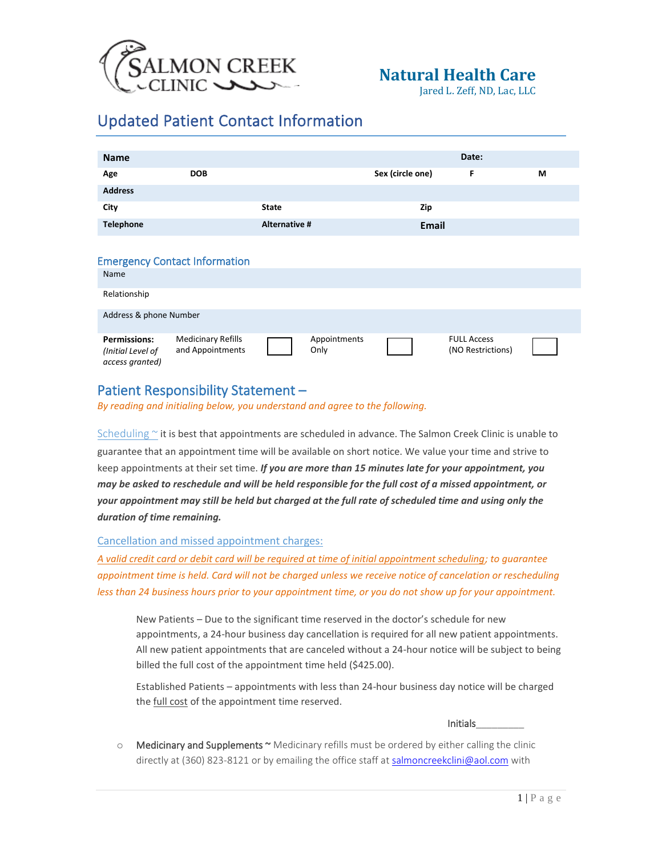

Jared L. Zeff, ND, Lac, LLC

## Updated Patient Contact Information

| <b>Name</b>                                                 |                                               |               |                      |                  | Date:                                   |   |
|-------------------------------------------------------------|-----------------------------------------------|---------------|----------------------|------------------|-----------------------------------------|---|
| Age                                                         | <b>DOB</b>                                    |               |                      | Sex (circle one) | F                                       | M |
| <b>Address</b>                                              |                                               |               |                      |                  |                                         |   |
| City                                                        |                                               | <b>State</b>  |                      | Zip              |                                         |   |
| <b>Telephone</b>                                            |                                               | Alternative # |                      | <b>Email</b>     |                                         |   |
|                                                             |                                               |               |                      |                  |                                         |   |
| <b>Emergency Contact Information</b>                        |                                               |               |                      |                  |                                         |   |
| Name                                                        |                                               |               |                      |                  |                                         |   |
| Relationship                                                |                                               |               |                      |                  |                                         |   |
| Address & phone Number                                      |                                               |               |                      |                  |                                         |   |
| <b>Permissions:</b><br>(Initial Level of<br>access granted) | <b>Medicinary Refills</b><br>and Appointments |               | Appointments<br>Only |                  | <b>FULL Access</b><br>(NO Restrictions) |   |

## Patient Responsibility Statement –

*By reading and initialing below, you understand and agree to the following.* 

Scheduling  $\sim$  it is best that appointments are scheduled in advance. The Salmon Creek Clinic is unable to guarantee that an appointment time will be available on short notice. We value your time and strive to keep appointments at their set time. *If you are more than 15 minutes late for your appointment, you may be asked to reschedule and will be held responsible for the full cost of a missed appointment, or your appointment may still be held but charged at the full rate of scheduled time and using only the duration of time remaining.*

## Cancellation and missed appointment charges:

*A valid credit card or debit card will be required at time of initial appointment scheduling; to guarantee appointment time is held. Card will not be charged unless we receive notice of cancelation or rescheduling less than 24 business hours prior to your appointment time, or you do not show up for your appointment.* 

New Patients – Due to the significant time reserved in the doctor's schedule for new appointments, a 24-hour business day cancellation is required for all new patient appointments. All new patient appointments that are canceled without a 24-hour notice will be subject to being billed the full cost of the appointment time held (\$425.00).

Established Patients – appointments with less than 24-hour business day notice will be charged the **full cost** of the appointment time reserved.

Initials\_\_\_\_\_\_\_\_\_

o Medicinary and Supplements ~ Medicinary refills must be ordered by either calling the clinic directly at (360) 823-8121 or by emailing the office staff a[t salmoncreekclini@aol.com](mailto:salmoncreekclini@aol.com) with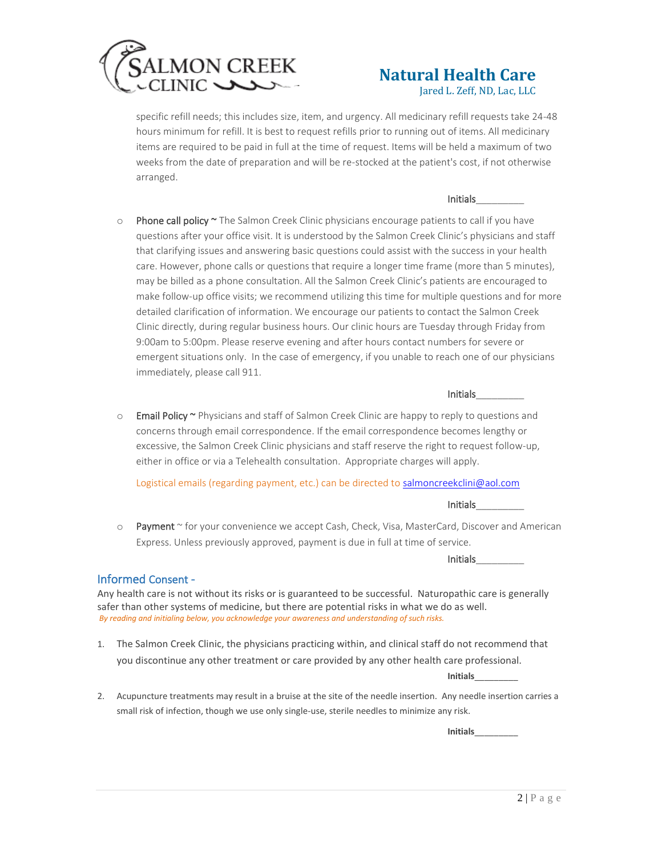

Jared L. Zeff, ND, Lac, LLC

specific refill needs; this includes size, item, and urgency. All medicinary refill requests take 24-48 hours minimum for refill. It is best to request refills prior to running out of items. All medicinary items are required to be paid in full at the time of request. Items will be held a maximum of two weeks from the date of preparation and will be re-stocked at the patient's cost, if not otherwise arranged.

### Initials\_\_\_\_\_\_\_\_\_

 $\circ$  Phone call policy  $\sim$  The Salmon Creek Clinic physicians encourage patients to call if you have questions after your office visit. It is understood by the Salmon Creek Clinic's physicians and staff that clarifying issues and answering basic questions could assist with the success in your health care. However, phone calls or questions that require a longer time frame (more than 5 minutes), may be billed as a phone consultation. All the Salmon Creek Clinic's patients are encouraged to make follow-up office visits; we recommend utilizing this time for multiple questions and for more detailed clarification of information. We encourage our patients to contact the Salmon Creek Clinic directly, during regular business hours. Our clinic hours are Tuesday through Friday from 9:00am to 5:00pm. Please reserve evening and after hours contact numbers for severe or emergent situations only. In the case of emergency, if you unable to reach one of our physicians immediately, please call 911.

## Initials\_\_\_\_\_\_\_\_\_

o Email Policy ~ Physicians and staff of Salmon Creek Clinic are happy to reply to questions and concerns through email correspondence. If the email correspondence becomes lengthy or excessive, the Salmon Creek Clinic physicians and staff reserve the right to request follow-up, either in office or via a Telehealth consultation. Appropriate charges will apply.

Logistical emails (regarding payment, etc.) can be directed to [salmoncreekclini@aol.com](mailto:salmoncreekclini@aol.com)

#### Initials\_\_\_\_\_\_\_\_\_

o Payment ~ for your convenience we accept Cash, Check, Visa, MasterCard, Discover and American Express. Unless previously approved, payment is due in full at time of service.

Initials\_\_\_\_\_\_\_\_\_

### Informed Consent -

Any health care is not without its risks or is guaranteed to be successful. Naturopathic care is generally safer than other systems of medicine, but there are potential risks in what we do as well. *By reading and initialing below, you acknowledge your awareness and understanding of such risks.* 

1. The Salmon Creek Clinic, the physicians practicing within, and clinical staff do not recommend that you discontinue any other treatment or care provided by any other health care professional.

**Initials**\_\_\_\_\_\_\_\_\_

2. Acupuncture treatments may result in a bruise at the site of the needle insertion. Any needle insertion carries a small risk of infection, though we use only single-use, sterile needles to minimize any risk.

**Initials**\_\_\_\_\_\_\_\_\_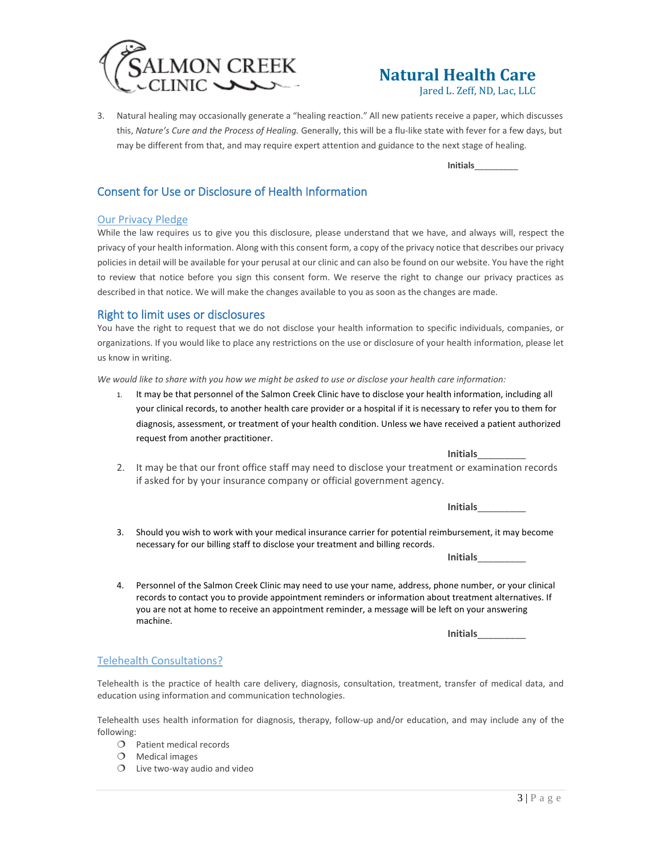

Jared L. Zeff, ND, Lac, LLC

3. Natural healing may occasionally generate a "healing reaction." All new patients receive a paper, which discusses this, *Nature's Cure and the Process of Healing.* Generally, this will be a flu-like state with fever for a few days, but may be different from that, and may require expert attention and guidance to the next stage of healing.

**Initials**\_\_\_\_\_\_\_\_\_

## Consent for Use or Disclosure of Health Information

### Our Privacy Pledge

While the law requires us to give you this disclosure, please understand that we have, and always will, respect the privacy of your health information. Along with this consent form, a copy of the privacy notice that describes our privacy policies in detail will be available for your perusal at our clinic and can also be found on our website. You have the right to review that notice before you sign this consent form. We reserve the right to change our privacy practices as described in that notice. We will make the changes available to you as soon as the changes are made.

## Right to limit uses or disclosures

You have the right to request that we do not disclose your health information to specific individuals, companies, or organizations. If you would like to place any restrictions on the use or disclosure of your health information, please let us know in writing.

*We would like to share with you how we might be asked to use or disclose your health care information:*

1. It may be that personnel of the Salmon Creek Clinic have to disclose your health information, including all your clinical records, to another health care provider or a hospital if it is necessary to refer you to them for diagnosis, assessment, or treatment of your health condition. Unless we have received a patient authorized request from another practitioner.

**Initials**\_\_\_\_\_\_\_\_\_

2. It may be that our front office staff may need to disclose your treatment or examination records if asked for by your insurance company or official government agency.

**Initials**\_\_\_\_\_\_\_\_\_

3. Should you wish to work with your medical insurance carrier for potential reimbursement, it may become necessary for our billing staff to disclose your treatment and billing records.

**Initials**\_\_\_\_\_\_\_\_\_

4. Personnel of the Salmon Creek Clinic may need to use your name, address, phone number, or your clinical records to contact you to provide appointment reminders or information about treatment alternatives. If you are not at home to receive an appointment reminder, a message will be left on your answering machine.

**Initials**\_\_\_\_\_\_\_\_\_

### Telehealth Consultations?

Telehealth is the practice of health care delivery, diagnosis, consultation, treatment, transfer of medical data, and education using information and communication technologies.

Telehealth uses health information for diagnosis, therapy, follow-up and/or education, and may include any of the following:

- O Patient medical records
- $O$  Medical images
- $O$  Live two-way audio and video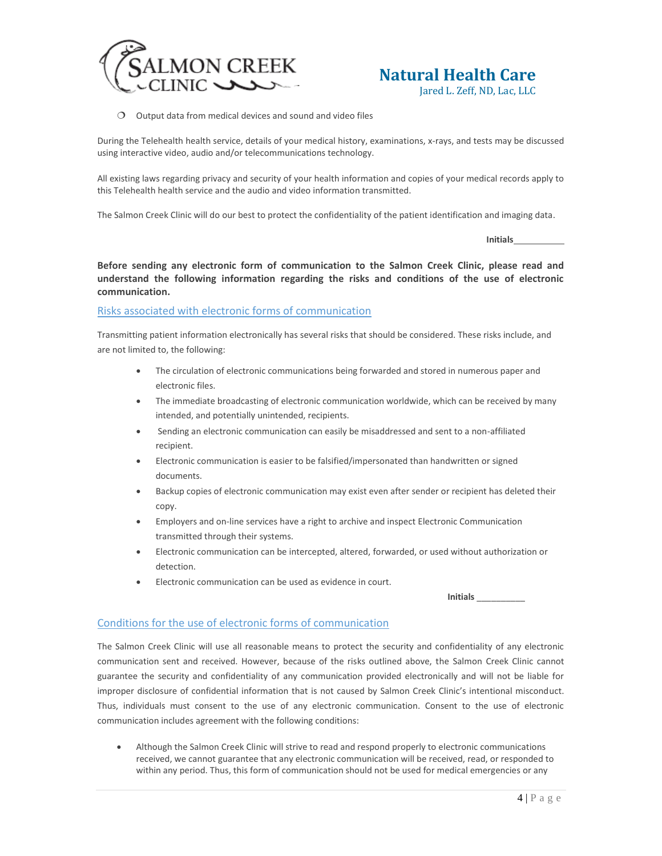

Jared L. Zeff, ND, Lac, LLC



During the Telehealth health service, details of your medical history, examinations, x-rays, and tests may be discussed using interactive video, audio and/or telecommunications technology.

All existing laws regarding privacy and security of your health information and copies of your medical records apply to this Telehealth health service and the audio and video information transmitted.

The Salmon Creek Clinic will do our best to protect the confidentiality of the patient identification and imaging data.

**Initials**

**Before sending any electronic form of communication to the Salmon Creek Clinic, please read and understand the following information regarding the risks and conditions of the use of electronic communication.**

### Risks associated with electronic forms of communication

Transmitting patient information electronically has several risks that should be considered. These risks include, and are not limited to, the following:

- The circulation of electronic communications being forwarded and stored in numerous paper and electronic files.
- The immediate broadcasting of electronic communication worldwide, which can be received by many intended, and potentially unintended, recipients.
- Sending an electronic communication can easily be misaddressed and sent to a non-affiliated recipient.
- Electronic communication is easier to be falsified/impersonated than handwritten or signed documents.
- Backup copies of electronic communication may exist even after sender or recipient has deleted their copy.
- Employers and on-line services have a right to archive and inspect Electronic Communication transmitted through their systems.
- Electronic communication can be intercepted, altered, forwarded, or used without authorization or detection.
- Electronic communication can be used as evidence in court.

**Initials** \_\_\_\_\_\_\_\_\_\_

## Conditions for the use of electronic forms of communication

The Salmon Creek Clinic will use all reasonable means to protect the security and confidentiality of any electronic communication sent and received. However, because of the risks outlined above, the Salmon Creek Clinic cannot guarantee the security and confidentiality of any communication provided electronically and will not be liable for improper disclosure of confidential information that is not caused by Salmon Creek Clinic's intentional misconduct. Thus, individuals must consent to the use of any electronic communication. Consent to the use of electronic communication includes agreement with the following conditions:

• Although the Salmon Creek Clinic will strive to read and respond properly to electronic communications received, we cannot guarantee that any electronic communication will be received, read, or responded to within any period. Thus, this form of communication should not be used for medical emergencies or any